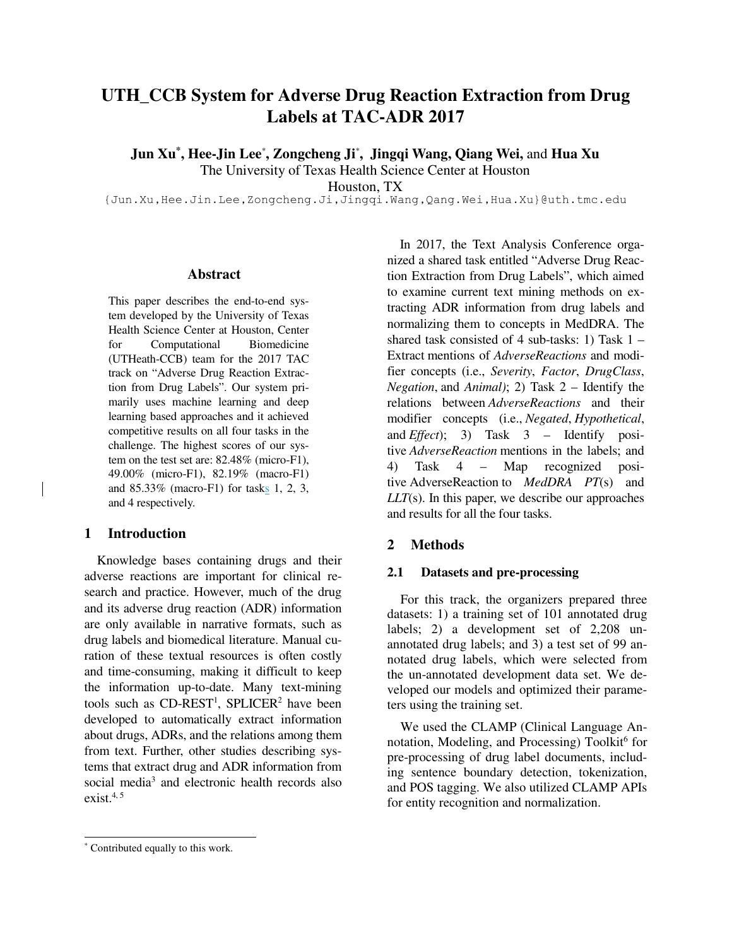# **UTH\_CCB System for Adverse Drug Reaction Extraction from Drug Labels at TAC-ADR 2017**

**Jun Xu\* , Hee-Jin Lee**\* **, Zongcheng Ji**\* **, Jingqi Wang, Qiang Wei,** and **Hua Xu**

The University of Texas Health Science Center at Houston

Houston, TX

{Jun.Xu,Hee.Jin.Lee,Zongcheng.Ji,Jingqi.Wang,Qang.Wei,Hua.Xu}@uth.tmc.edu

#### **Abstract**

This paper describes the end-to-end system developed by the University of Texas Health Science Center at Houston, Center for Computational Biomedicine (UTHeath-CCB) team for the 2017 TAC track on "Adverse Drug Reaction Extraction from Drug Labels". Our system primarily uses machine learning and deep learning based approaches and it achieved competitive results on all four tasks in the challenge. The highest scores of our system on the test set are: 82.48% (micro-F1), 49.00% (micro-F1), 82.19% (macro-F1) and 85.33% (macro-F1) for tasks 1, 2, 3, and 4 respectively.

### **1 Introduction**

 Knowledge bases containing drugs and their adverse reactions are important for clinical research and practice. However, much of the drug and its adverse drug reaction (ADR) information are only available in narrative formats, such as drug labels and biomedical literature. Manual curation of these textual resources is often costly and time-consuming, making it difficult to keep the information up-to-date. Many text-mining tools such as  $CD$ -REST<sup>1</sup>, SPLICER<sup>2</sup> have been developed to automatically extract information about drugs, ADRs, and the relations among them from text. Further, other studies describing systems that extract drug and ADR information from social media<sup>3</sup> and electronic health records also exist. $4, 5$ 

### **2 Methods**

### **2.1 Datasets and pre-processing**

 For this track, the organizers prepared three datasets: 1) a training set of 101 annotated drug labels; 2) a development set of 2,208 unannotated drug labels; and 3) a test set of 99 annotated drug labels, which were selected from the un-annotated development data set. We developed our models and optimized their parameters using the training set.

 We used the CLAMP (Clinical Language Annotation, Modeling, and Processing) Toolkit<sup>6</sup> for pre-processing of drug label documents, including sentence boundary detection, tokenization, and POS tagging. We also utilized CLAMP APIs for entity recognition and normalization.

 $\overline{a}$ 

In 2017, the Text Analysis Conference organized a shared task entitled "Adverse Drug Reaction Extraction from Drug Labels", which aimed to examine current text mining methods on extracting ADR information from drug labels and normalizing them to concepts in MedDRA. The shared task consisted of 4 sub-tasks: 1) Task  $1 -$ Extract mentions of *AdverseReactions* and modifier concepts (i.e., *Severity*, *Factor*, *DrugClass*, *Negation*, and *Animal)*; 2) Task 2 – Identify the relations between *AdverseReactions* and their modifier concepts (i.e., *Negated*, *Hypothetical*, and *Effect*); 3) Task 3 – Identify positive *AdverseReaction* mentions in the labels; and 4) Task 4 – Map recognized positive AdverseReaction to *MedDRA PT*(s) and *LLT*(s). In this paper, we describe our approaches and results for all the four tasks.

<sup>\*</sup> Contributed equally to this work.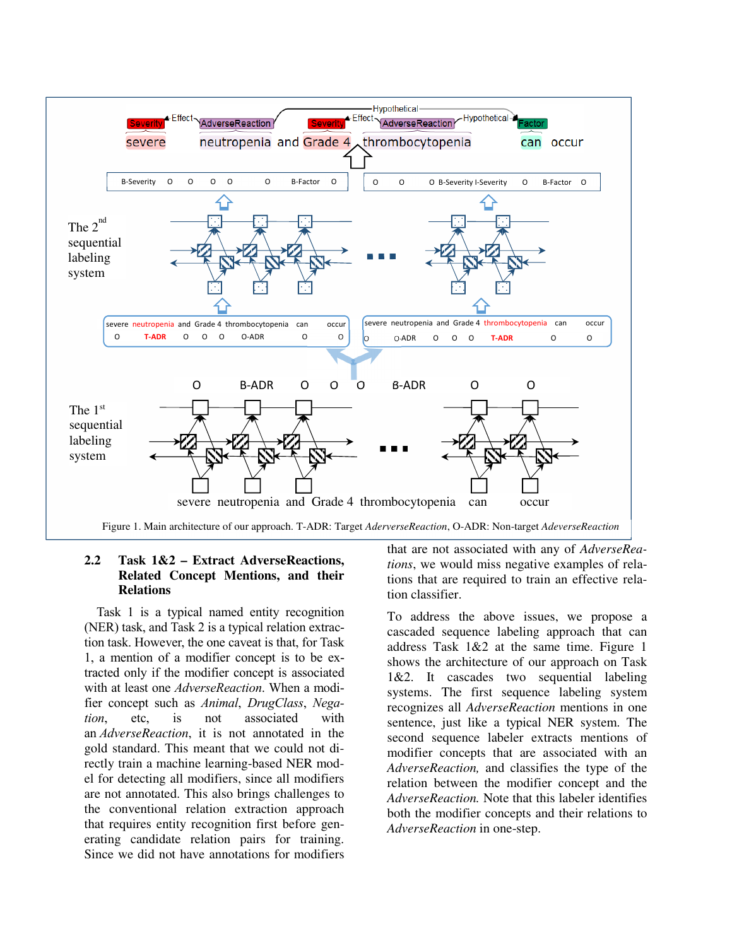

### **2.2 Task 1&2 – Extract AdverseReactions, Related Concept Mentions, and their Relations**

 Task 1 is a typical named entity recognition (NER) task, and Task 2 is a typical relation extraction task. However, the one caveat is that, for Task 1, a mention of a modifier concept is to be extracted only if the modifier concept is associated with at least one *AdverseReaction*. When a modifier concept such as *Animal*, *DrugClass*, *Negation*, etc, is not associated with an *AdverseReaction*, it is not annotated in the gold standard. This meant that we could not directly train a machine learning-based NER model for detecting all modifiers, since all modifiers are not annotated. This also brings challenges to the conventional relation extraction approach that requires entity recognition first before generating candidate relation pairs for training. Since we did not have annotations for modifiers that are not associated with any of *AdverseReations*, we would miss negative examples of relations that are required to train an effective relation classifier.

To address the above issues, we propose a cascaded sequence labeling approach that can address Task 1&2 at the same time. Figure 1 shows the architecture of our approach on Task 1&2. It cascades two sequential labeling systems. The first sequence labeling system recognizes all *AdverseReaction* mentions in one sentence, just like a typical NER system. The second sequence labeler extracts mentions of modifier concepts that are associated with an *AdverseReaction,* and classifies the type of the relation between the modifier concept and the *AdverseReaction.* Note that this labeler identifies both the modifier concepts and their relations to *AdverseReaction* in one-step.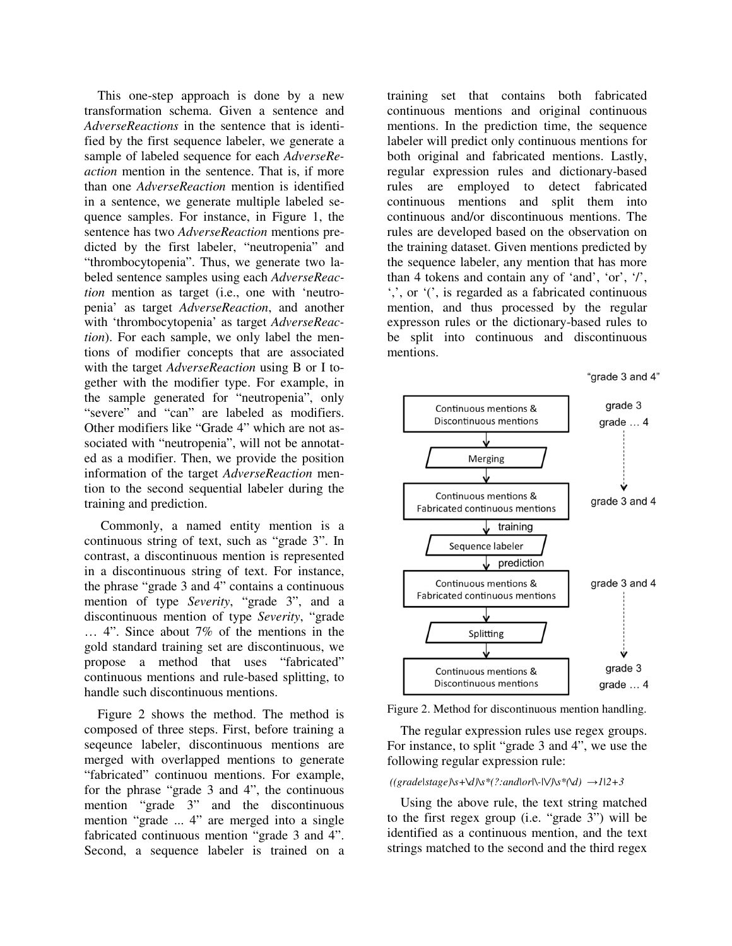This one-step approach is done by a new transformation schema. Given a sentence and *AdverseReactions* in the sentence that is identified by the first sequence labeler, we generate a sample of labeled sequence for each *AdverseReaction* mention in the sentence. That is, if more than one *AdverseReaction* mention is identified in a sentence, we generate multiple labeled sequence samples. For instance, in Figure 1, the sentence has two *AdverseReaction* mentions predicted by the first labeler, "neutropenia" and "thrombocytopenia". Thus, we generate two labeled sentence samples using each *AdverseReaction* mention as target (i.e., one with 'neutropenia' as target *AdverseReaction*, and another with 'thrombocytopenia' as target *AdverseReaction*). For each sample, we only label the mentions of modifier concepts that are associated with the target *AdverseReaction* using B or I together with the modifier type. For example, in the sample generated for "neutropenia", only "severe" and "can" are labeled as modifiers. Other modifiers like "Grade 4" which are not associated with "neutropenia", will not be annotated as a modifier. Then, we provide the position information of the target *AdverseReaction* mention to the second sequential labeler during the training and prediction.

Commonly, a named entity mention is a continuous string of text, such as "grade 3". In contrast, a discontinuous mention is represented in a discontinuous string of text. For instance, the phrase "grade 3 and 4" contains a continuous mention of type *Severity*, "grade 3", and a discontinuous mention of type *Severity*, "grade … 4". Since about 7% of the mentions in the gold standard training set are discontinuous, we propose a method that uses "fabricated" continuous mentions and rule-based splitting, to handle such discontinuous mentions.

 Figure 2 shows the method. The method is composed of three steps. First, before training a seqeunce labeler, discontinuous mentions are merged with overlapped mentions to generate "fabricated" continuou mentions. For example, for the phrase "grade 3 and 4", the continuous mention "grade 3" and the discontinuous mention "grade ... 4" are merged into a single fabricated continuous mention "grade 3 and 4". Second, a sequence labeler is trained on a training set that contains both fabricated continuous mentions and original continuous mentions. In the prediction time, the sequence labeler will predict only continuous mentions for both original and fabricated mentions. Lastly, regular expression rules and dictionary-based rules are employed to detect fabricated continuous mentions and split them into continuous and/or discontinuous mentions. The rules are developed based on the observation on the training dataset. Given mentions predicted by the sequence labeler, any mention that has more than 4 tokens and contain any of 'and', 'or', '/', ',', or '(', is regarded as a fabricated continuous mention, and thus processed by the regular expresson rules or the dictionary-based rules to be split into continuous and discontinuous mentions.





Figure 2. Method for discontinuous mention handling.

 The regular expression rules use regex groups. For instance, to split "grade 3 and 4", we use the following regular expression rule:

#### *((grade|stage)\s+\d)\s\*(?:and|or|\-|\/)\s\*(\d) →1|2+3*

 Using the above rule, the text string matched to the first regex group (i.e. "grade 3") will be identified as a continuous mention, and the text strings matched to the second and the third regex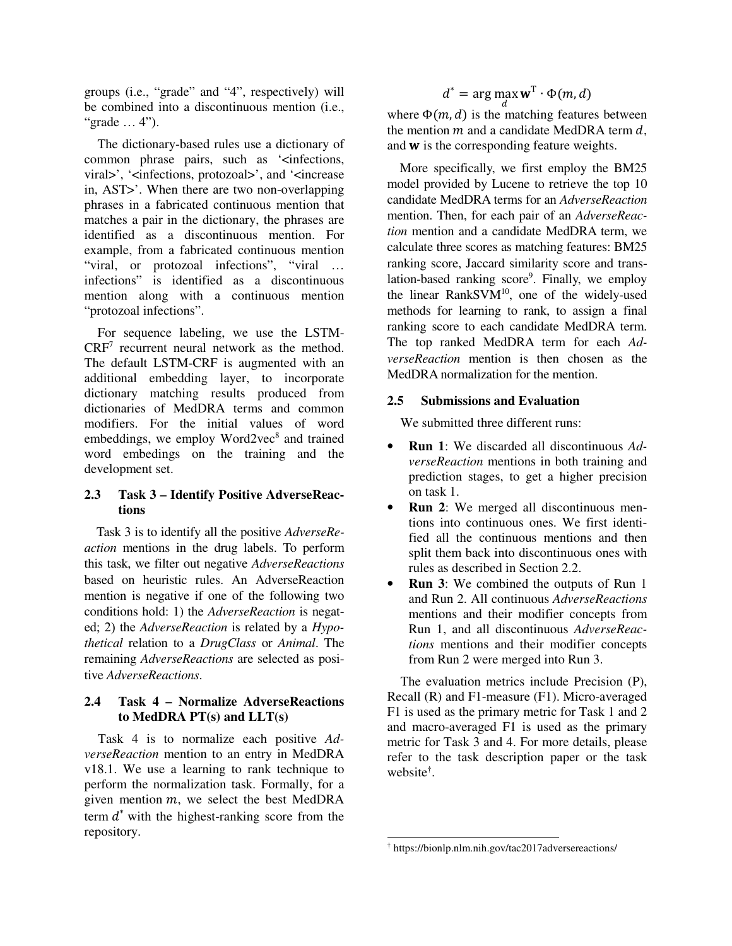groups (i.e., "grade" and "4", respectively) will be combined into a discontinuous mention (i.e., "grade … 4").

 The dictionary-based rules use a dictionary of common phrase pairs, such as '<infections, viral>', '<infections, protozoal>', and '<increase in, AST>'. When there are two non-overlapping phrases in a fabricated continuous mention that matches a pair in the dictionary, the phrases are identified as a discontinuous mention. For example, from a fabricated continuous mention "viral, or protozoal infections", "viral … infections" is identified as a discontinuous mention along with a continuous mention "protozoal infections".

 For sequence labeling, we use the LSTM-CRF<sup>7</sup> recurrent neural network as the method. The default LSTM-CRF is augmented with an additional embedding layer, to incorporate dictionary matching results produced from dictionaries of MedDRA terms and common modifiers. For the initial values of word embeddings, we employ Word2vec<sup>8</sup> and trained word embedings on the training and the development set.

# **2.3 Task 3 – Identify Positive AdverseReactions**

 Task 3 is to identify all the positive *AdverseReaction* mentions in the drug labels. To perform this task, we filter out negative *AdverseReactions*  based on heuristic rules. An AdverseReaction mention is negative if one of the following two conditions hold: 1) the *AdverseReaction* is negated; 2) the *AdverseReaction* is related by a *Hypothetical* relation to a *DrugClass* or *Animal*. The remaining *AdverseReactions* are selected as positive *AdverseReactions*.

# **2.4 Task 4 – Normalize AdverseReactions to MedDRA PT(s) and LLT(s)**

Task 4 is to normalize each positive *AdverseReaction* mention to an entry in MedDRA v18.1. We use a learning to rank technique to perform the normalization task. Formally, for a given mention  $m$ , we select the best MedDRA term  $d^*$  with the highest-ranking score from the repository.

$$
d^* = \arg\max \mathbf{w}^{\mathrm{T}} \cdot \Phi(m, d)
$$

where  $\Phi(m, d)$  is the matching features between the mention  $m$  and a candidate MedDRA term  $d$ , and  $w$  is the corresponding feature weights.

 More specifically, we first employ the BM25 model provided by Lucene to retrieve the top 10 candidate MedDRA terms for an *AdverseReaction* mention. Then, for each pair of an *AdverseReaction* mention and a candidate MedDRA term, we calculate three scores as matching features: BM25 ranking score, Jaccard similarity score and translation-based ranking score<sup>9</sup>. Finally, we employ the linear RankSVM<sup>10</sup>, one of the widely-used methods for learning to rank, to assign a final ranking score to each candidate MedDRA term. The top ranked MedDRA term for each *AdverseReaction* mention is then chosen as the MedDRA normalization for the mention.

## **2.5 Submissions and Evaluation**

We submitted three different runs:

- **Run 1**: We discarded all discontinuous *AdverseReaction* mentions in both training and prediction stages, to get a higher precision on task 1.
- **Run 2**: We merged all discontinuous mentions into continuous ones. We first identified all the continuous mentions and then split them back into discontinuous ones with rules as described in Section 2.2.
- **Run 3**: We combined the outputs of Run 1 and Run 2. All continuous *AdverseReactions* mentions and their modifier concepts from Run 1, and all discontinuous *AdverseReactions* mentions and their modifier concepts from Run 2 were merged into Run 3.

 The evaluation metrics include Precision (P), Recall (R) and F1-measure (F1). Micro-averaged F1 is used as the primary metric for Task 1 and 2 and macro-averaged F1 is used as the primary metric for Task 3 and 4. For more details, please refer to the task description paper or the task website† .

<sup>&</sup>lt;u>.</u> † https://bionlp.nlm.nih.gov/tac2017adversereactions/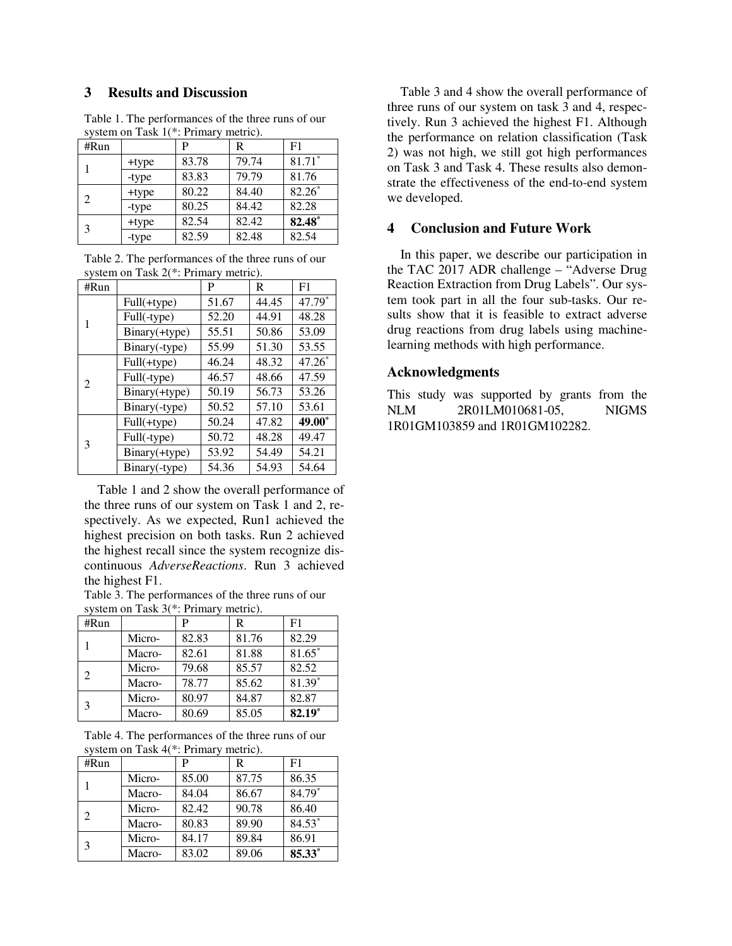### **3 Results and Discussion**

| system on Task $I($ . Filmaly methor. |       |       |       |                |
|---------------------------------------|-------|-------|-------|----------------|
| #Run                                  |       | P     | R     | F <sub>1</sub> |
|                                       | +type | 83.78 | 79.74 | $81.71*$       |
|                                       | -type | 83.83 | 79.79 | 81.76          |
| $\mathcal{D}_{\mathcal{L}}$           | +type | 80.22 | 84.40 | $82.26*$       |
|                                       | -type | 80.25 | 84.42 | 82.28          |
| 3                                     | +type | 82.54 | 82.42 | 82.48*         |
|                                       | -type | 82.59 | 82.48 | 82.54          |

Table 1. The performances of the three runs of our system on Task 1(\*: Primary metric).

Table 2. The performances of the three runs of our system on Task 2(\*: Primary metric).

| #Run           |               | P     | R     | F1       |
|----------------|---------------|-------|-------|----------|
|                | Full(+type)   | 51.67 | 44.45 | 47.79*   |
|                | Full(-type)   | 52.20 | 44.91 | 48.28    |
|                | Binary(+type) | 55.51 | 50.86 | 53.09    |
|                | Binary(-type) | 55.99 | 51.30 | 53.55    |
| $\mathfrak{D}$ | Full(+type)   | 46.24 | 48.32 | $47.26*$ |
|                | Full(-type)   | 46.57 | 48.66 | 47.59    |
|                | Binary(+type) | 50.19 | 56.73 | 53.26    |
|                | Binary(-type) | 50.52 | 57.10 | 53.61    |
| 3              | Full(+type)   | 50.24 | 47.82 | 49.00*   |
|                | Full(-type)   | 50.72 | 48.28 | 49.47    |
|                | Binary(+type) | 53.92 | 54.49 | 54.21    |
|                | Binary(-type) | 54.36 | 54.93 | 54.64    |

 Table 1 and 2 show the overall performance of the three runs of our system on Task 1 and 2, respectively. As we expected, Run1 achieved the highest precision on both tasks. Run 2 achieved the highest recall since the system recognize discontinuous *AdverseReactions*. Run 3 achieved the highest F1.

Table 3. The performances of the three runs of our system on Task 3(\*: Primary metric).

| #Run |        | P     | R     | F1       |
|------|--------|-------|-------|----------|
|      | Micro- | 82.83 | 81.76 | 82.29    |
|      | Macro- | 82.61 | 81.88 | 81.65*   |
| 2    | Micro- | 79.68 | 85.57 | 82.52    |
|      | Macro- | 78.77 | 85.62 | $81.39*$ |
| 3    | Micro- | 80.97 | 84.87 | 82.87    |
|      | Macro- | 80.69 | 85.05 | $82.19*$ |

Table 4. The performances of the three runs of our system on Task 4(\*: Primary metric).

| #Run           |        | P     | R     | F <sub>1</sub> |
|----------------|--------|-------|-------|----------------|
|                | Micro- | 85.00 | 87.75 | 86.35          |
|                | Macro- | 84.04 | 86.67 | $84.79*$       |
| $\mathfrak{D}$ | Micro- | 82.42 | 90.78 | 86.40          |
|                | Macro- | 80.83 | 89.90 | 84.53*         |
| 3              | Micro- | 84.17 | 89.84 | 86.91          |
|                | Macro- | 83.02 | 89.06 | 85.33*         |

 Table 3 and 4 show the overall performance of three runs of our system on task 3 and 4, respectively. Run 3 achieved the highest F1. Although the performance on relation classification (Task 2) was not high, we still got high performances on Task 3 and Task 4. These results also demonstrate the effectiveness of the end-to-end system we developed.

### **4 Conclusion and Future Work**

 In this paper, we describe our participation in the TAC 2017 ADR challenge – "Adverse Drug Reaction Extraction from Drug Labels". Our system took part in all the four sub-tasks. Our results show that it is feasible to extract adverse drug reactions from drug labels using machinelearning methods with high performance.

#### **Acknowledgments**

This study was supported by grants from the NLM 2R01LM010681-05, NIGMS 1R01GM103859 and 1R01GM102282.